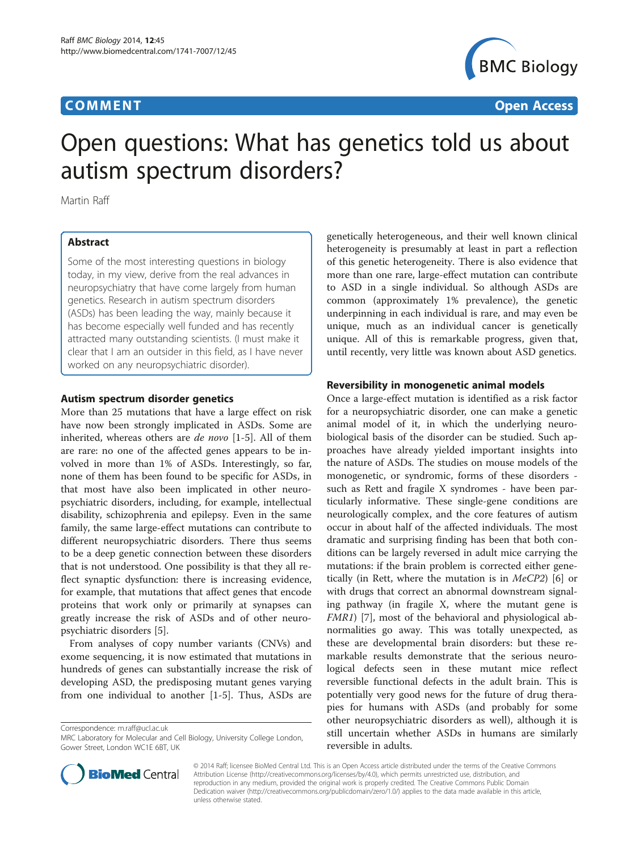## **COMMENT COMMENT COMMENT**



# Open questions: What has genetics told us about autism spectrum disorders?

Martin Raff

### Abstract

Some of the most interesting questions in biology today, in my view, derive from the real advances in neuropsychiatry that have come largely from human genetics. Research in autism spectrum disorders (ASDs) has been leading the way, mainly because it has become especially well funded and has recently attracted many outstanding scientists. (I must make it clear that I am an outsider in this field, as I have never worked on any neuropsychiatric disorder).

#### Autism spectrum disorder genetics

More than 25 mutations that have a large effect on risk have now been strongly implicated in ASDs. Some are inherited, whereas others are de novo [[1-5](#page-1-0)]. All of them are rare: no one of the affected genes appears to be involved in more than 1% of ASDs. Interestingly, so far, none of them has been found to be specific for ASDs, in that most have also been implicated in other neuropsychiatric disorders, including, for example, intellectual disability, schizophrenia and epilepsy. Even in the same family, the same large-effect mutations can contribute to different neuropsychiatric disorders. There thus seems to be a deep genetic connection between these disorders that is not understood. One possibility is that they all reflect synaptic dysfunction: there is increasing evidence, for example, that mutations that affect genes that encode proteins that work only or primarily at synapses can greatly increase the risk of ASDs and of other neuropsychiatric disorders [\[5\]](#page-1-0).

From analyses of copy number variants (CNVs) and exome sequencing, it is now estimated that mutations in hundreds of genes can substantially increase the risk of developing ASD, the predisposing mutant genes varying from one individual to another [[1-5](#page-1-0)]. Thus, ASDs are

Correspondence: [m.raff@ucl.ac.uk](mailto:m.raff@ucl.ac.uk)

genetically heterogeneous, and their well known clinical heterogeneity is presumably at least in part a reflection of this genetic heterogeneity. There is also evidence that more than one rare, large-effect mutation can contribute to ASD in a single individual. So although ASDs are common (approximately 1% prevalence), the genetic underpinning in each individual is rare, and may even be unique, much as an individual cancer is genetically unique. All of this is remarkable progress, given that, until recently, very little was known about ASD genetics.

#### Reversibility in monogenetic animal models

Once a large-effect mutation is identified as a risk factor for a neuropsychiatric disorder, one can make a genetic animal model of it, in which the underlying neurobiological basis of the disorder can be studied. Such approaches have already yielded important insights into the nature of ASDs. The studies on mouse models of the monogenetic, or syndromic, forms of these disorders such as Rett and fragile X syndromes - have been particularly informative. These single-gene conditions are neurologically complex, and the core features of autism occur in about half of the affected individuals. The most dramatic and surprising finding has been that both conditions can be largely reversed in adult mice carrying the mutations: if the brain problem is corrected either genetically (in Rett, where the mutation is in MeCP2) [[6\]](#page-1-0) or with drugs that correct an abnormal downstream signaling pathway (in fragile X, where the mutant gene is FMR1) [[7](#page-2-0)], most of the behavioral and physiological abnormalities go away. This was totally unexpected, as these are developmental brain disorders: but these remarkable results demonstrate that the serious neurological defects seen in these mutant mice reflect reversible functional defects in the adult brain. This is potentially very good news for the future of drug therapies for humans with ASDs (and probably for some other neuropsychiatric disorders as well), although it is still uncertain whether ASDs in humans are similarly reversible in adults.



© 2014 Raff; licensee BioMed Central Ltd. This is an Open Access article distributed under the terms of the Creative Commons Attribution License ([http://creativecommons.org/licenses/by/4.0]((http://creativecommons.org/licenses/by/4.0)), which permits unrestricted use, distribution, and reproduction in any medium, provided the original work is properly credited. The Creative Commons Public Domain Dedication waiver [\(http://creativecommons.org/publicdomain/zero/1.0/]((http://creativecommons.org/publicdomain/zero/1.0/)) applies to the data made available in this article, unless otherwise stated.

MRC Laboratory for Molecular and Cell Biology, University College London, Gower Street, London WC1E 6BT, UK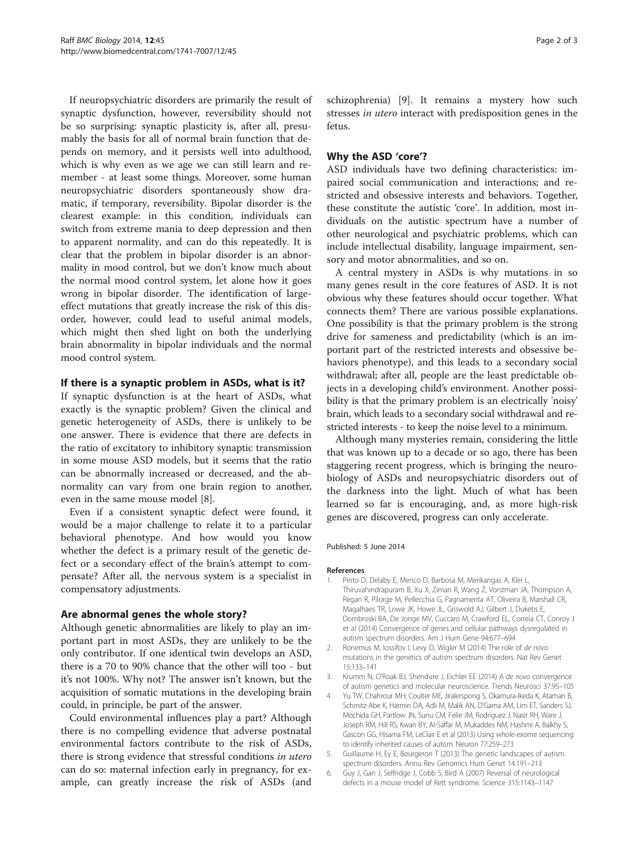<span id="page-1-0"></span>If neuropsychiatric disorders are primarily the result of synaptic dysfunction, however, reversibility should not be so surprising: synaptic plasticity is, after all, presumably the basis for all of normal brain function that depends on memory, and it persists well into adulthood, which is why even as we age we can still learn and remember - at least some things. Moreover, some human neuropsychiatric disorders spontaneously show dramatic, if temporary, reversibility. Bipolar disorder is the clearest example: in this condition, individuals can switch from extreme mania to deep depression and then to apparent normality, and can do this repeatedly. It is clear that the problem in bipolar disorder is an abnormality in mood control, but we don't know much about the normal mood control system, let alone how it goes wrong in bipolar disorder. The identification of largeeffect mutations that greatly increase the risk of this disorder, however, could lead to useful animal models, which might then shed light on both the underlying brain abnormality in bipolar individuals and the normal mood control system.

#### If there is a synaptic problem in ASDs, what is it?

If synaptic dysfunction is at the heart of ASDs, what exactly is the synaptic problem? Given the clinical and genetic heterogeneity of ASDs, there is unlikely to be one answer. There is evidence that there are defects in the ratio of excitatory to inhibitory synaptic transmission in some mouse ASD models, but it seems that the ratio can be abnormally increased or decreased, and the abnormality can vary from one brain region to another, even in the same mouse model [\[8](#page-2-0)].

Even if a consistent synaptic defect were found, it would be a major challenge to relate it to a particular behavioral phenotype. And how would you know whether the defect is a primary result of the genetic defect or a secondary effect of the brain's attempt to compensate? After all, the nervous system is a specialist in compensatory adjustments.

#### Are abnormal genes the whole story?

Although genetic abnormalities are likely to play an important part in most ASDs, they are unlikely to be the only contributor. If one identical twin develops an ASD, there is a 70 to 90% chance that the other will too - but it's not 100%. Why not? The answer isn't known, but the acquisition of somatic mutations in the developing brain could, in principle, be part of the answer.

Could environmental influences play a part? Although there is no compelling evidence that adverse postnatal environmental factors contribute to the risk of ASDs, there is strong evidence that stressful conditions in utero can do so: maternal infection early in pregnancy, for example, can greatly increase the risk of ASDs (and schizophrenia) [[9\]](#page-2-0). It remains a mystery how such stresses in utero interact with predisposition genes in the fetus.

#### Why the ASD 'core'?

ASD individuals have two defining characteristics: impaired social communication and interactions; and restricted and obsessive interests and behaviors. Together, these constitute the autistic 'core'. In addition, most individuals on the autistic spectrum have a number of other neurological and psychiatric problems, which can include intellectual disability, language impairment, sensory and motor abnormalities, and so on.

A central mystery in ASDs is why mutations in so many genes result in the core features of ASD. It is not obvious why these features should occur together. What connects them? There are various possible explanations. One possibility is that the primary problem is the strong drive for sameness and predictability (which is an important part of the restricted interests and obsessive behaviors phenotype), and this leads to a secondary social withdrawal; after all, people are the least predictable objects in a developing child's environment. Another possibility is that the primary problem is an electrically 'noisy' brain, which leads to a secondary social withdrawal and restricted interests - to keep the noise level to a minimum.

Although many mysteries remain, considering the little that was known up to a decade or so ago, there has been staggering recent progress, which is bringing the neurobiology of ASDs and neuropsychiatric disorders out of the darkness into the light. Much of what has been learned so far is encouraging, and, as more high-risk genes are discovered, progress can only accelerate.

Published: 5 June 2014

#### References

- 1. Pinto D, Delaby E, Merico D, Barbosa M, Merikangas A, Klei L, Thiruvahindrapuram B, Xu X, Ziman R, Wang Z, Vorstman JA, Thompson A, Regan R, Pilorge M, Pellecchia G, Pagnamenta AT, Oliveira B, Marshall CR, Magalhaes TR, Lowe JK, Howe JL, Griswold AJ, Gilbert J, Duketis E, Dombroski BA, De Jonge MV, Cuccaro M, Crawford EL, Correia CT, Conroy J et al (2014) Convergence of genes and cellular pathways dysregulated in autism spectrum disorders. Am J Hum Gene 94:677–694
- 2. Ronemus M, Iossifov I, Levy D, Wigler M (2014) The role of de novo mutations in the genetics of autism spectrum disorders. Nat Rev Genet 15:133–141
- 3. Krumm N, O'Roak BJ, Shendure J, Eichler EE (2014) A de novo convergence of autism genetics and molecular neuroscience. Trends Neurosci 37:95–105
- 4. Yu TW, Chahrour MH, Coulter ME, Jiralerspong S, Okamura-Ikeda K, Ataman B, Schmitz-Abe K, Harmin DA, Adli M, Malik AN, D'Gama AM, Lim ET, Sanders SJ, Mochida GH, Partlow JN, Sunu CM, Felie JM, Rodriguez J, Nasir RH, Ware J, Joseph RM, Hill RS, Kwan BY, Al-Saffar M, Mukaddes NM, Hashmi A, Balkhy S, Gascon GG, Hisama FM, LeClair E et al (2013) Using whole-exome sequencing to identify inherited causes of autism. Neuron 77:259–273
- 5. Guillaume H, Ey E, Bourgeron T (2013) The genetic landscapes of autism spectrum disorders. Annu Rev Genomics Hum Genet 14:191–213
- 6. Guy J, Gan J, Selfridge J, Cobb S, Bird A (2007) Reversal of neurological defects in a mouse model of Rett syndrome. Science 315:1143–1147